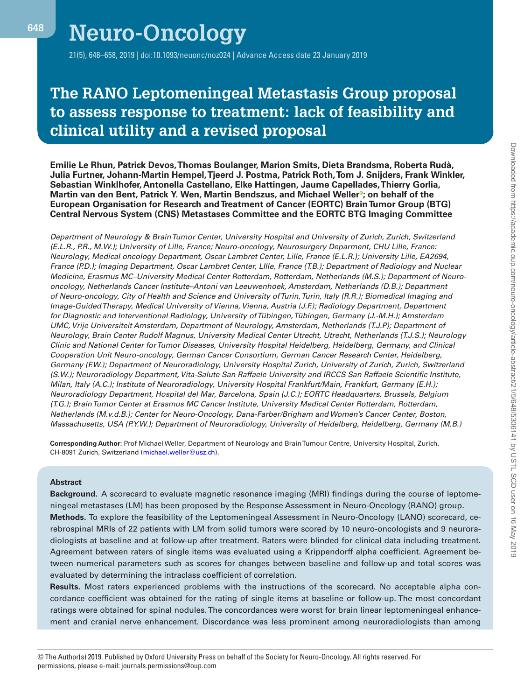# **Neuro-Oncology**

21(5), 648–658, 2019 | doi:10.1093/neuonc/noz024 | Advance Access date 23 January 2019

# **The RANO Leptomeningeal Metastasis Group proposal to assess response to treatment: lack of feasibility and clinical utility and a revised proposal**

**Emilie Le Rhun, Patrick Devos, Thomas Boulanger, Marion Smits, Dieta Brandsma, Roberta Rudà, Julia Furtner, Johann-Martin Hempel, Tjeerd J. Postma, Patrick Roth, Tom J. Snijders, Frank Winkler, Sebastian Winklhofer, Antonella Castellano, Elke Hattingen, Jaume Capellades, Thierry Gorlia, Martin van den Bent, Patrick Y. Wen, Martin Bendszus, and Michael Weller<sup>®</sup>; on behalf of the European Organisation for Research and Treatment of Cancer (EORTC) Brain Tumor Group (BTG) Central Nervous System (CNS) Metastases Committee and the EORTC BTG Imaging Committee**

*Department of Neurology & Brain Tumor Center, University Hospital and University of Zurich, Zurich, Switzerland (E.L.R., P.R., M.W.); University of Lille, France; Neuro-oncology, Neurosurgery Deparment, CHU Lille, France: Neurology, Medical oncology Department, Oscar Lambret Center, Lille, France (E.L.R.); University Lille, EA2694, France (P.D.); Imaging Department, Oscar Lambret Center, LIlle, France (T.B.); Department of Radiology and Nuclear Medicine, Erasmus MC–University Medical Center Rotterdam, Rotterdam, Netherlands (M.S.); Department of Neurooncology, Netherlands Cancer Institute–Antoni van Leeuwenhoek, Amsterdam, Netherlands (D.B.); Department of Neuro-oncology, City of Health and Science and University of Turin, Turin, Italy (R.R.); Biomedical Imaging and Image-Guided Therapy, Medical University of Vienna, Vienna, Austria (J.F.); Radiology Department, Department for Diagnostic and Interventional Radiology, University of Tübingen, Tübingen, Germany (J.-M.H.); Amsterdam UMC, Vrije Universiteit Amsterdam, Department of Neurology, Amsterdam, Netherlands (T.J.P); Department of Neurology, Brain Center Rudolf Magnus, University Medical Center Utrecht, Utrecht, Netherlands (T.J.S.); Neurology Clinic and National Center for Tumor Diseases, University Hospital Heidelberg, Heidelberg, Germany, and Clinical Cooperation Unit Neuro-oncology, German Cancer Consortium, German Cancer Research Center, Heidelberg, Germany (F.W.); Department of Neuroradiology, University Hospital Zurich, University of Zurich, Zurich, Switzerland (S.W.); Neuroradiology Department, Vita-Salute San Raffaele University and IRCCS San Raffaele Scientific Institute, Milan, Italy (A.C.); Institute of Neuroradiology, University Hospital Frankfurt/Main, Frankfurt, Germany (E.H.); Neuroradiology Department, Hospital del Mar, Barcelona, Spain (J.C.); EORTC Headquarters, Brussels, Belgium (T.G.); Brain Tumor Center at Erasmus MC Cancer Institute, University Medical Center Rotterdam, Rotterdam, Netherlands (M.v.d.B.); Center for Neuro-Oncology, Dana-Farber/Brigham and Women's Cancer Center, Boston, Massachusetts, USA (P.Y.W.); Department of Neuroradiology, University of Heidelberg, Heidelberg, Germany (M.B.)*

**Corresponding Author:** Prof Michael Weller, Department of Neurology and Brain Tumour Centre, University Hospital, Zurich, CH-8091 Zurich, Switzerland (michael.weller@usz.ch).

## **Abstract**

**Background.** A scorecard to evaluate magnetic resonance imaging (MRI) findings during the course of leptomeningeal metastases (LM) has been proposed by the Response Assessment in Neuro-Oncology (RANO) group. **Methods.** To explore the feasibility of the Leptomeningeal Assessment in Neuro-Oncology (LANO) scorecard, cerebrospinal MRIs of 22 patients with LM from solid tumors were scored by 10 neuro-oncologists and 9 neuroradiologists at baseline and at follow-up after treatment. Raters were blinded for clinical data including treatment. Agreement between raters of single items was evaluated using a Krippendorff alpha coefficient. Agreement between numerical parameters such as scores for changes between baseline and follow-up and total scores was evaluated by determining the intraclass coefficient of correlation.

**Results.** Most raters experienced problems with the instructions of the scorecard. No acceptable alpha concordance coefficient was obtained for the rating of single items at baseline or follow-up. The most concordant ratings were obtained for spinal nodules. The concordances were worst for brain linear leptomeningeal enhancement and cranial nerve enhancement. Discordance was less prominent among neuroradiologists than among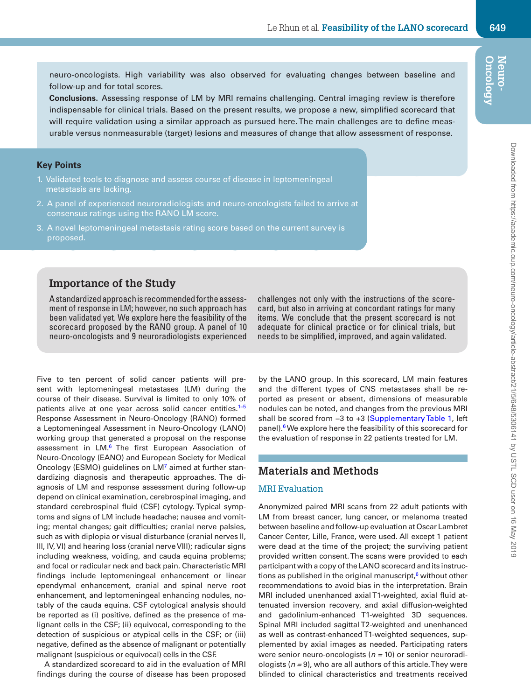neuro-oncologists. High variability was also observed for evaluating changes between baseline and follow-up and for total scores.

**Conclusions.** Assessing response of LM by MRI remains challenging. Central imaging review is therefore indispensable for clinical trials. Based on the present results, we propose a new, simplified scorecard that will require validation using a similar approach as pursued here. The main challenges are to define measurable versus nonmeasurable (target) lesions and measures of change that allow assessment of response.

# **Key Points**

- 1. Validated tools to diagnose and assess course of disease in leptomeningeal metastasis are lacking.
- 2. A panel of experienced neuroradiologists and neuro-oncologists failed to arrive at consensus ratings using the RANO LM score.
- 3. A novel leptomeningeal metastasis rating score based on the current survey is proposed.

# **Importance of the Study**

A standardized approach is recommended for the assessment of response in LM; however, no such approach has been validated yet. We explore here the feasibility of the scorecard proposed by the RANO group. A panel of 10 neuro-oncologists and 9 neuroradiologists experienced

Five to ten percent of solid cancer patients will present with leptomeningeal metastases (LM) during the course of their disease. Survival is limited to only 10% of patients alive at one year across solid cancer entities.<sup>1-5</sup> Response Assessment in Neuro-Oncology (RANO) formed a Leptomeningeal Assessment in Neuro-Oncology (LANO) working group that generated a proposal on the response assessment in LM.<sup>6</sup> The first European Association of Neuro-Oncology (EANO) and European Society for Medical Oncology (ESMO) guidelines on LM<sup>7</sup> aimed at further standardizing diagnosis and therapeutic approaches. The diagnosis of LM and response assessment during follow-up depend on clinical examination, cerebrospinal imaging, and standard cerebrospinal fluid (CSF) cytology. Typical symptoms and signs of LM include headache; nausea and vomiting; mental changes; gait difficulties; cranial nerve palsies, such as with diplopia or visual disturbance (cranial nerves II, III, IV, VI) and hearing loss (cranial nerve VIII); radicular signs including weakness, voiding, and cauda equina problems; and focal or radicular neck and back pain. Characteristic MRI findings include leptomeningeal enhancement or linear ependymal enhancement, cranial and spinal nerve root enhancement, and leptomeningeal enhancing nodules, notably of the cauda equina. CSF cytological analysis should be reported as (i) positive, defined as the presence of malignant cells in the CSF; (ii) equivocal, corresponding to the detection of suspicious or atypical cells in the CSF; or (iii) negative, defined as the absence of malignant or potentially malignant (suspicious or equivocal) cells in the CSF.

A standardized scorecard to aid in the evaluation of MRI findings during the course of disease has been proposed

challenges not only with the instructions of the scorecard, but also in arriving at concordant ratings for many items. We conclude that the present scorecard is not adequate for clinical practice or for clinical trials, but needs to be simplified, improved, and again validated.

by the LANO group. In this scorecard, LM main features and the different types of CNS metastases shall be reported as present or absent, dimensions of measurable nodules can be noted, and changes from the previous MRI shall be scored from −3 to +3 (Supplementary Table 1, left panel).6 We explore here the feasibility of this scorecard for the evaluation of response in 22 patients treated for LM.

# **Materials and Methods**

#### MRI Evaluation

Anonymized paired MRI scans from 22 adult patients with LM from breast cancer, lung cancer, or melanoma treated between baseline and follow-up evaluation at Oscar Lambret Cancer Center, Lille, France, were used. All except 1 patient were dead at the time of the project; the surviving patient provided written consent. The scans were provided to each participant with a copy of the LANO scorecard and its instructions as published in the original manuscript, $6$  without other recommendations to avoid bias in the interpretation. Brain MRI included unenhanced axial T1-weighted, axial fluid attenuated inversion recovery, and axial diffusion-weighted and gadolinium-enhanced T1-weighted 3D sequences. Spinal MRI included sagittal T2-weighted and unenhanced as well as contrast-enhanced T1-weighted sequences, supplemented by axial images as needed. Participating raters were senior neuro-oncologists (*n =* 10) or senior neuroradiologists (*n =* 9), who are all authors of this article. They were blinded to clinical characteristics and treatments received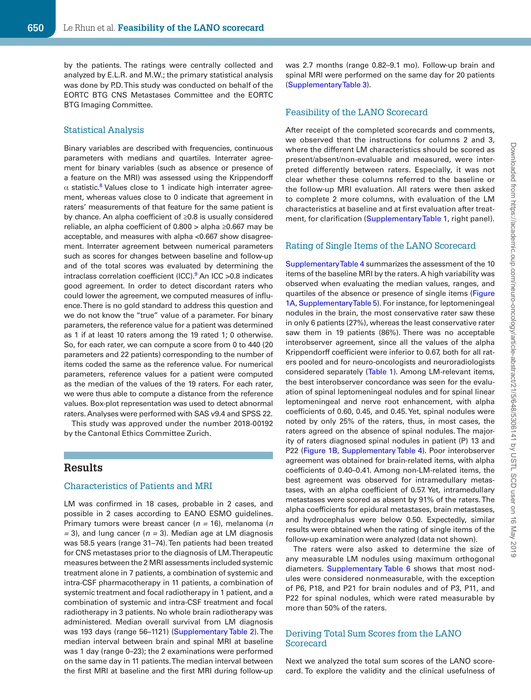by the patients. The ratings were centrally collected and analyzed by E.L.R. and M.W.; the primary statistical analysis was done by P.D. This study was conducted on behalf of the EORTC BTG CNS Metastases Committee and the EORTC BTG Imaging Committee.

#### Statistical Analysis

Binary variables are described with frequencies, continuous parameters with medians and quartiles. Interrater agreement for binary variables (such as absence or presence of a feature on the MRI) was assessed using the Krippendorff  $\alpha$  statistic.<sup>8</sup> Values close to 1 indicate high interrater agreement, whereas values close to 0 indicate that agreement in raters' measurements of that feature for the same patient is by chance. An alpha coefficient of ≥0.8 is usually considered reliable, an alpha coefficient of 0.800 > alpha ≥0.667 may be acceptable, and measures with alpha <0.667 show disagreement. Interrater agreement between numerical parameters such as scores for changes between baseline and follow-up and of the total scores was evaluated by determining the intraclass correlation coefficient (ICC). $9$  An ICC >0.8 indicates good agreement. In order to detect discordant raters who could lower the agreement, we computed measures of influence. There is no gold standard to address this question and we do not know the "true" value of a parameter. For binary parameters, the reference value for a patient was determined as 1 if at least 10 raters among the 19 rated 1; 0 otherwise. So, for each rater, we can compute a score from 0 to 440 (20 parameters and 22 patients) corresponding to the number of items coded the same as the reference value. For numerical parameters, reference values for a patient were computed as the median of the values of the 19 raters. For each rater, we were thus able to compute a distance from the reference values. Box-plot representation was used to detect abnormal raters. Analyses were performed with SAS v9.4 and SPSS 22.

This study was approved under the number 2018-00192 by the Cantonal Ethics Committee Zurich.

# **Results**

#### Characteristics of Patients and MRI

LM was confirmed in 18 cases, probable in 2 cases, and possible in 2 cases according to EANO ESMO guidelines. Primary tumors were breast cancer (*n =* 16), melanoma (*n =* 3), and lung cancer (*n =* 3). Median age at LM diagnosis was 58.5 years (range 31–74). Ten patients had been treated for CNS metastases prior to the diagnosis of LM. Therapeutic measures between the 2 MRI assessments included systemic treatment alone in 7 patients, a combination of systemic and intra-CSF pharmacotherapy in 11 patients, a combination of systemic treatment and focal radiotherapy in 1 patient, and a combination of systemic and intra-CSF treatment and focal radiotherapy in 3 patients. No whole brain radiotherapy was administered. Median overall survival from LM diagnosis was 193 days (range 56–1121) (Supplementary Table 2). The median interval between brain and spinal MRI at baseline was 1 day (range 0–23); the 2 examinations were performed on the same day in 11 patients. The median interval between the first MRI at baseline and the first MRI during follow-up was 2.7 months (range 0.82–9.1 mo). Follow-up brain and spinal MRI were performed on the same day for 20 patients (Supplementary Table 3).

# Feasibility of the LANO Scorecard

After receipt of the completed scorecards and comments, we observed that the instructions for columns 2 and 3, where the different LM characteristics should be scored as present/absent/non-evaluable and measured, were interpreted differently between raters. Especially, it was not clear whether these columns referred to the baseline or the follow-up MRI evaluation. All raters were then asked to complete 2 more columns, with evaluation of the LM characteristics at baseline and at first evaluation after treatment, for clarification (Supplementary Table 1, right panel).

#### Rating of Single Items of the LANO Scorecard

Supplementary Table 4 summarizes the assessment of the 10 items of the baseline MRI by the raters. A high variability was observed when evaluating the median values, ranges, and quartiles of the absence or presence of single items (Figure 1A, Supplementary Table 5). For instance, for leptomeningeal nodules in the brain, the most conservative rater saw these in only 6 patients (27%), whereas the least conservative rater saw them in 19 patients (86%). There was no acceptable interobserver agreement, since all the values of the alpha Krippendorff coefficient were inferior to 0.67, both for all raters pooled and for neuro-oncologists and neuroradiologists considered separately (Table 1). Among LM-relevant items, the best interobserver concordance was seen for the evaluation of spinal leptomeningeal nodules and for spinal linear leptomeningeal and nerve root enhancement, with alpha coefficients of 0.60, 0.45, and 0.45. Yet, spinal nodules were noted by only 25% of the raters, thus, in most cases, the raters agreed on the absence of spinal nodules. The majority of raters diagnosed spinal nodules in patient (P) 13 and P22 (Figure 1B, Supplementary Table 4). Poor interobserver agreement was obtained for brain-related items, with alpha coefficients of 0.40–0.41. Among non-LM-related items, the best agreement was observed for intramedullary metastases, with an alpha coefficient of 0.57. Yet, intramedullary metastases were scored as absent by 91% of the raters. The alpha coefficients for epidural metastases, brain metastases, and hydrocephalus were below 0.50. Expectedly, similar results were obtained when the rating of single items of the follow-up examination were analyzed (data not shown).

The raters were also asked to determine the size of any measurable LM nodules using maximum orthogonal diameters. Supplementary Table 6 shows that most nodules were considered nonmeasurable, with the exception of P6, P18, and P21 for brain nodules and of P3, P11, and P22 for spinal nodules, which were rated measurable by more than 50% of the raters.

#### Deriving Total Sum Scores from the LANO Scorecard

Next we analyzed the total sum scores of the LANO scorecard. To explore the validity and the clinical usefulness of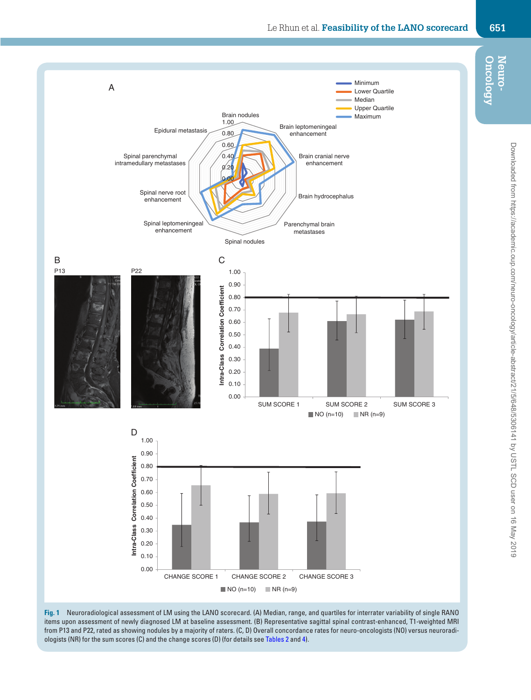

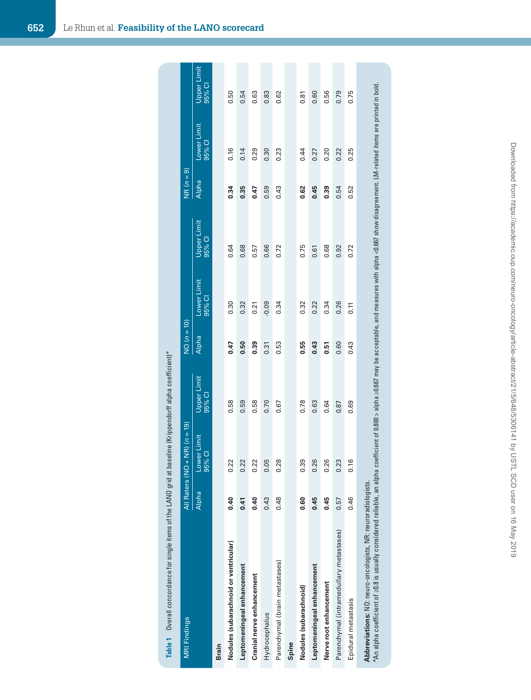| Table 1 Overall concordance for single items of the LANO grid at baseline (Krippendorff alpha coefficient)*                                                                                                                                                                           |                |                       |                       |               |                       |                       |                |                       |                              |
|---------------------------------------------------------------------------------------------------------------------------------------------------------------------------------------------------------------------------------------------------------------------------------------|----------------|-----------------------|-----------------------|---------------|-----------------------|-----------------------|----------------|-----------------------|------------------------------|
| <b>MRI Findings</b>                                                                                                                                                                                                                                                                   | All Raters (NO | $+$ NR) $(n = 19)$    |                       | $NO (n = 10)$ |                       |                       | බ<br>NR $(n =$ |                       |                              |
|                                                                                                                                                                                                                                                                                       | Alpha          | Lower Limit<br>95% CI | Upper Limit<br>95% CI | Alpha         | Lower Limit<br>95% CI | Upper Limit<br>95% CI | Alpha          | Lower Limit<br>95% CI | <b>Upper Limit</b><br>95% CI |
| Brain                                                                                                                                                                                                                                                                                 |                |                       |                       |               |                       |                       |                |                       |                              |
| Nodules (subarachnoid or ventricular)                                                                                                                                                                                                                                                 | 0.40           | 0.22                  | 0.58                  | 0.47          | 0.30                  | 0.64                  | 0.34           | 0.16                  | 0.50                         |
| Leptomeningeal enhancement                                                                                                                                                                                                                                                            | 0.41           | 0.22                  | 0.59                  | 0.50          | 0.32                  | 0.68                  | 0.35           | 0.14                  | 0.54                         |
| Cranial nerve enhancement                                                                                                                                                                                                                                                             | 0.40           | 0.22                  | 0.58                  | 0.39          | 0.21                  | 0.57                  | 0.47           | 0.29                  | 0.63                         |
| Hydrocephalus                                                                                                                                                                                                                                                                         | 0.43           | 0.05                  | 0.70                  | 0.31          | $-0.09$               | 0.66                  | 0.59           | 0.30                  | 0.83                         |
| Parenchymal (brain metastases)                                                                                                                                                                                                                                                        | 0.48           | 0.28                  | 0.67                  | 0.53          | 0.34                  | 0.72                  | 0.43           | 0.23                  | 0.62                         |
| Spine                                                                                                                                                                                                                                                                                 |                |                       |                       |               |                       |                       |                |                       |                              |
| Nodules (subarachnoid)                                                                                                                                                                                                                                                                | 0.60           | 0.39                  | 0.78                  | 0.55          | 0.32                  | 0.75                  | 0.62           | 0.44                  | 0.81                         |
| Leptomeningeal enhancement                                                                                                                                                                                                                                                            | 0.45           | 0.26                  | 0.63                  | 0.43          | 0.22                  | 0.61                  | 0.45           | 0.27                  | 0.60                         |
| Nerve root enhancement                                                                                                                                                                                                                                                                | 0.45           | 0.26                  | 0.64                  | 0.51          | 0.34                  | 0.68                  | 0.39           | 0.20                  | 0.56                         |
| Parenchymal (intramedullary metastases)                                                                                                                                                                                                                                               | 0.57           | 0.23                  | 0.87                  | 0.60          | 0.26                  | 0.92                  | 0.54           | 0.22                  | 0.79                         |
| Epidural metastasis                                                                                                                                                                                                                                                                   | 0.46           | 0.16                  | 0.69                  | 0.43          | 0.11                  | 0.72                  | 0.52           | 0.25                  | 0.75                         |
| *An alpha coefficient of 20.8 is usually considered reliable, an alpha coefficient of 0.800 > alpha 20.667 may be acceptable, and measures with alpha <0.667 show disagreement. LM-related items are printed in bold.<br>Abbreviations: NO: neuro-oncologists, NR: neuroradiologists. |                |                       |                       |               |                       |                       |                |                       |                              |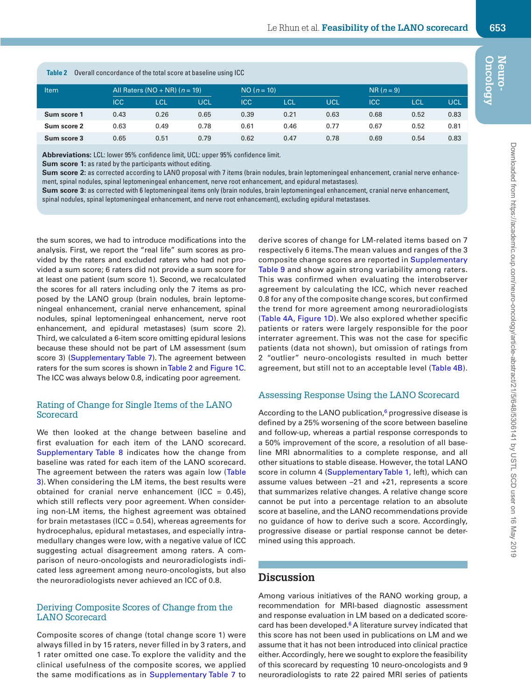| Table 2     |            | Overall concordance of the total score at baseline using ICC |      |               |            |      |              |            |      |
|-------------|------------|--------------------------------------------------------------|------|---------------|------------|------|--------------|------------|------|
| <b>Item</b> |            | All Raters ( $NO + NR$ ) ( $n = 19$ )                        |      | $NO (n = 10)$ |            |      | $NR (n = 9)$ |            |      |
|             | <b>ICC</b> | <b>LCL</b>                                                   | UCL  | <b>ICC</b>    | <b>LCL</b> | UCL  | <b>ICC</b>   | <b>LCL</b> | UCL  |
| Sum score 1 | 0.43       | 0.26                                                         | 0.65 | 0.39          | 0.21       | 0.63 | 0.68         | 0.52       | 0.83 |
| Sum score 2 | 0.63       | 0.49                                                         | 0.78 | 0.61          | 0.46       | 0.77 | 0.67         | 0.52       | 0.81 |
| Sum score 3 | 0.65       | 0.51                                                         | 0.79 | 0.62          | 0.47       | 0.78 | 0.69         | 0.54       | 0.83 |

**Abbreviations:** LCL: lower 95% confidence limit, UCL: upper 95% confidence limit.

**Sum score 1:** as rated by the participants without editing.

Sum score 2: as corrected according to LANO proposal with 7 items (brain nodules, brain leptomeningeal enhancement, cranial nerve enhancement, spinal nodules, spinal leptomeningeal enhancement, nerve root enhancement, and epidural metastases).

**Sum score 3:** as corrected with 6 leptomeningeal items only (brain nodules, brain leptomeningeal enhancement, cranial nerve enhancement, spinal nodules, spinal leptomeningeal enhancement, and nerve root enhancement), excluding epidural metastases.

the sum scores, we had to introduce modifications into the analysis. First, we report the "real life" sum scores as provided by the raters and excluded raters who had not provided a sum score; 6 raters did not provide a sum score for at least one patient (sum score 1). Second, we recalculated the scores for all raters including only the 7 items as proposed by the LANO group (brain nodules, brain leptomeningeal enhancement, cranial nerve enhancement, spinal nodules, spinal leptomeningeal enhancement, nerve root enhancement, and epidural metastases) (sum score 2). Third, we calculated a 6-item score omitting epidural lesions because these should not be part of LM assessment (sum score 3) (Supplementary Table 7). The agreement between raters for the sum scores is shown in Table 2 and Figure 1C. The ICC was always below 0.8, indicating poor agreement.

#### Rating of Change for Single Items of the LANO Scorecard

We then looked at the change between baseline and first evaluation for each item of the LANO scorecard. Supplementary Table 8 indicates how the change from baseline was rated for each item of the LANO scorecard. The agreement between the raters was again low (Table 3). When considering the LM items, the best results were obtained for cranial nerve enhancement (ICC =  $0.45$ ), which still reflects very poor agreement. When considering non-LM items, the highest agreement was obtained for brain metastases (ICC =  $0.54$ ), whereas agreements for hydrocephalus, epidural metastases, and especially intramedullary changes were low, with a negative value of ICC suggesting actual disagreement among raters. A comparison of neuro-oncologists and neuroradiologists indicated less agreement among neuro-oncologists, but also the neuroradiologists never achieved an ICC of 0.8.

#### Deriving Composite Scores of Change from the LANO Scorecard

Composite scores of change (total change score 1) were always filled in by 15 raters, never filled in by 3 raters, and 1 rater omitted one case. To explore the validity and the clinical usefulness of the composite scores, we applied the same modifications as in Supplementary Table 7 to derive scores of change for LM-related items based on 7 respectively 6 items. The mean values and ranges of the 3 composite change scores are reported in Supplementary Table 9 and show again strong variability among raters. This was confirmed when evaluating the interobserver agreement by calculating the ICC, which never reached 0.8 for any of the composite change scores, but confirmed the trend for more agreement among neuroradiologists (Table 4A, Figure 1D). We also explored whether specific patients or raters were largely responsible for the poor interrater agreement. This was not the case for specific patients (data not shown), but omission of ratings from 2 "outlier" neuro-oncologists resulted in much better agreement, but still not to an acceptable level (Table 4B).

#### Assessing Response Using the LANO Scorecard

According to the LANO publication, $6$  progressive disease is defined by a 25% worsening of the score between baseline and follow-up, whereas a partial response corresponds to a 50% improvement of the score, a resolution of all baseline MRI abnormalities to a complete response, and all other situations to stable disease. However, the total LANO score in column 4 (Supplementary Table 1, left), which can assume values between –21 and +21, represents a score that summarizes relative changes. A relative change score cannot be put into a percentage relation to an absolute score at baseline, and the LANO recommendations provide no guidance of how to derive such a score. Accordingly, progressive disease or partial response cannot be determined using this approach.

## **Discussion**

Among various initiatives of the RANO working group, a recommendation for MRI-based diagnostic assessment and response evaluation in LM based on a dedicated scorecard has been developed. $6$  A literature survey indicated that this score has not been used in publications on LM and we assume that it has not been introduced into clinical practice either. Accordingly, here we sought to explore the feasibility of this scorecard by requesting 10 neuro-oncologists and 9 neuroradiologists to rate 22 paired MRI series of patients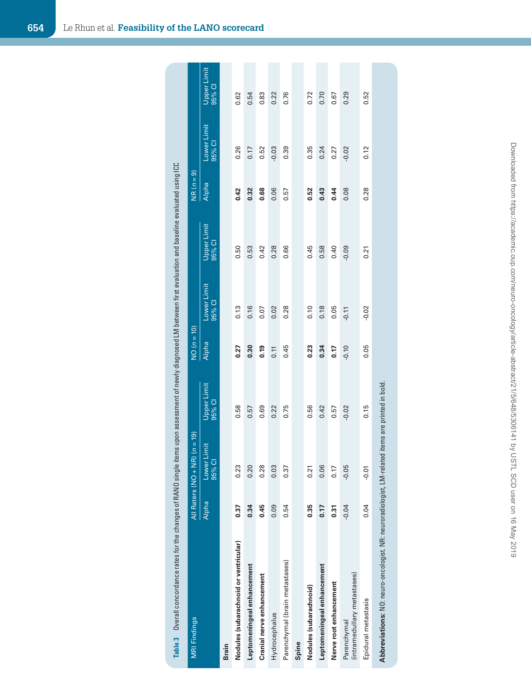| <b>MRI Findings</b>                                               | All Raters (NO + | $NR) (n = 19)$                           |                                  | $NO(n = 10)$ |                       |                       | $NR(n=9)$    |                       |                       |
|-------------------------------------------------------------------|------------------|------------------------------------------|----------------------------------|--------------|-----------------------|-----------------------|--------------|-----------------------|-----------------------|
|                                                                   | <b>Alpha</b>     | Lower Limit<br>$\overline{\circ}$<br>95% | Upper Limit<br>95% CI            | Alpha        | Lower Limit<br>95% CI | Upper Limit<br>95% CI | <b>Alpha</b> | Lower Limit<br>95% CI | Upper Limit<br>95% CI |
| <b>Brain</b>                                                      |                  |                                          |                                  |              |                       |                       |              |                       |                       |
| Nodules (subarachnoid or ventricular)                             | 0.37             | 0.23                                     | 0.58                             | 0.27         | 0.13                  | 0.50                  | 0.42         | 0.26                  | 0.62                  |
| Leptomeningeal enhancement                                        | 0.34             | 0.20                                     | 0.57                             | 0.30         | 0.16                  | 0.53                  | 0.32         | 0.17                  | 0.54                  |
| Cranial nerve enhancement                                         | 0.45             | 0.28                                     | 0.69                             | 0.19         | 0.07                  | 0.42                  | 0.68         | 0.52                  | 0.83                  |
| Hydrocephalus                                                     | 0.09             | 0.03                                     | 0.22                             | 0.11         | 0.02                  | 0.28                  | 0.06         | $-0.03$               | 0.22                  |
| Parenchymal (brain metastases)                                    | 0.54             | 0.37                                     | 0.75                             | 0.45         | 0.28                  | 0.66                  | 0.57         | 0.39                  | 0.76                  |
| Spine                                                             |                  |                                          |                                  |              |                       |                       |              |                       |                       |
| Nodules (subarachnoid)                                            | 0.35             | 0.21                                     | 0.56                             | 0.23         | 0.10                  | 0.45                  | 0.52         | 0.35                  | 0.72                  |
| Leptomeningeal enhancement                                        | 0.17             | 0.06                                     | 0.42                             | 0.34         | 0.18                  | 0.58                  | 0.43         | 0.24                  | 0.70                  |
| Nerve root enhancement                                            | 0.31             | 0.17                                     | 0.57                             | 0.17         | 0.05                  | 0.40                  | 0.44         | 0.27                  | 0.67                  |
| (intramedullary metastases)<br>Parenchymal                        | $-0.04$          | $-0.05$                                  | $-0.02$                          | $-0.10$      | $-0.11$               | $-0.09$               | 0.08         | $-0.02$               | 0.29                  |
| Epidural metastasis                                               | 0.04             | $-0.07$                                  | 0.15                             | 0.05         | $-0.02$               | 0.21                  | 0.28         | 0.12                  | 0.52                  |
| Abbreviations: NO: neuro-oncologist. NR: neuroradiologist, LM-rel |                  |                                          | lated items are printed in bold. |              |                       |                       |              |                       |                       |

 **654** Le Rhun et al. **Feasibility of the LANO scorecard**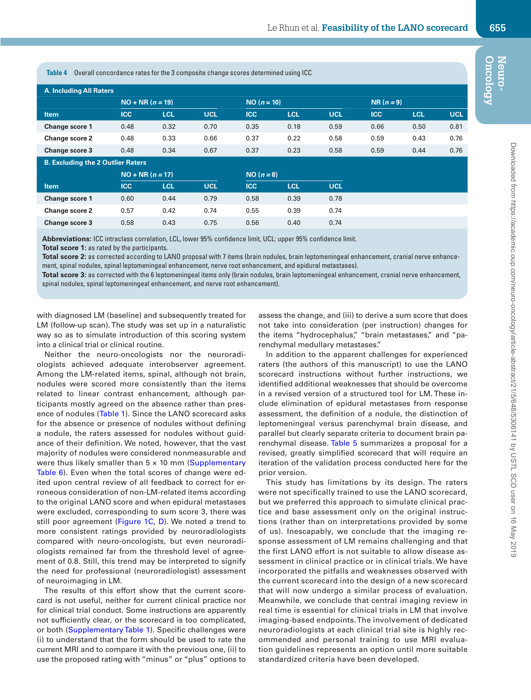**Table 4** Overall concordance rates for the 3 composite change scores determined using ICC

| <b>A. Including All Raters</b> |                    |            |            |               |      |      |            |            |            |
|--------------------------------|--------------------|------------|------------|---------------|------|------|------------|------------|------------|
|                                | $NO + NR (n = 19)$ |            |            | $NO (n = 10)$ |      |      | $NR(n=9)$  |            |            |
| <b>Item</b>                    | <b>ICC</b>         | <b>LCL</b> | <b>UCL</b> | ICC           | TCL  | UCL  | <b>ICC</b> | <b>LCL</b> | <b>UCL</b> |
| <b>Change score 1</b>          | 0.48               | 0.32       | 0.70       | 0.35          | 0.18 | 0.59 | 0.66       | 0.50       | 0.81       |
| <b>Change score 2</b>          | 0.48               | 0.33       | 0.66       | 0.37          | 0.22 | 0.58 | 0.59       | 0.43       | 0.76       |
| <b>Change score 3</b>          | 0.48               | 0.34       | 0.67       | 0.37          | 0.23 | 0.58 | 0.59       | 0.44       | 0.76       |

#### **B. Excluding the 2 Outlier Raters**

|                | $NO + NR (n = 17)$ |            |            | $NO (n = 8)$ |            |            |
|----------------|--------------------|------------|------------|--------------|------------|------------|
| <b>Item</b>    | <b>ICC</b>         | <b>LCL</b> | <b>UCL</b> | <b>ICC</b>   | <b>LCL</b> | <b>UCL</b> |
| Change score 1 | 0.60               | 0.44       | 0.79       | 0.58         | 0.39       | 0.78       |
| Change score 2 | 0.57               | 0.42       | 0.74       | 0.55         | 0.39       | 0.74       |
| Change score 3 | 0.58               | 0.43       | 0.75       | 0.56         | 0.40       | 0.74       |

**Abbreviations:** ICC intraclass correlation, LCL, lower 95% confidence limit, UCL: upper 95% confidence limit.

**Total score 1:** as rated by the participants.

Total score 2: as corrected according to LANO proposal with 7 items (brain nodules, brain leptomeningeal enhancement, cranial nerve enhancement, spinal nodules, spinal leptomeningeal enhancement, nerve root enhancement, and epidural metastases).

**Total score 3:** as corrected with the 6 leptomeningeal items only (brain nodules, brain leptomeningeal enhancement, cranial nerve enhancement, spinal nodules, spinal leptomeningeal enhancement, and nerve root enhancement).

with diagnosed LM (baseline) and subsequently treated for LM (follow-up scan). The study was set up in a naturalistic way so as to simulate introduction of this scoring system into a clinical trial or clinical routine.

Neither the neuro-oncologists nor the neuroradiologists achieved adequate interobserver agreement. Among the LM-related items, spinal, although not brain, nodules were scored more consistently than the items related to linear contrast enhancement, although participants mostly agreed on the absence rather than presence of nodules (Table 1). Since the LANO scorecard asks for the absence or presence of nodules without defining a nodule, the raters assessed for nodules without guidance of their definition. We noted, however, that the vast majority of nodules were considered nonmeasurable and were thus likely smaller than  $5 \times 10$  mm (Supplementary Table 6). Even when the total scores of change were edited upon central review of all feedback to correct for erroneous consideration of non-LM-related items according to the original LANO score and when epidural metastases were excluded, corresponding to sum score 3, there was still poor agreement (Figure 1C, D). We noted a trend to more consistent ratings provided by neuroradiologists compared with neuro-oncologists, but even neuroradiologists remained far from the threshold level of agreement of 0.8. Still, this trend may be interpreted to signify the need for professional (neuroradiologist) assessment of neuroimaging in LM.

The results of this effort show that the current scorecard is not useful, neither for current clinical practice nor for clinical trial conduct. Some instructions are apparently not sufficiently clear, or the scorecard is too complicated, or both (Supplementary Table 1). Specific challenges were (i) to understand that the form should be used to rate the current MRI and to compare it with the previous one, (ii) to use the proposed rating with "minus" or "plus" options to

assess the change, and (iii) to derive a sum score that does not take into consideration (per instruction) changes for the items "hydrocephalus," "brain metastases," and "parenchymal medullary metastases."

In addition to the apparent challenges for experienced raters (the authors of this manuscript) to use the LANO scorecard instructions without further instructions, we identified additional weaknesses that should be overcome in a revised version of a structured tool for LM. These include elimination of epidural metastases from response assessment, the definition of a nodule, the distinction of leptomeningeal versus parenchymal brain disease, and parallel but clearly separate criteria to document brain parenchymal disease. Table 5 summarizes a proposal for a revised, greatly simplified scorecard that will require an iteration of the validation process conducted here for the prior version.

This study has limitations by its design. The raters were not specifically trained to use the LANO scorecard, but we preferred this approach to simulate clinical practice and base assessment only on the original instructions (rather than on interpretations provided by some of us). Inescapably, we conclude that the imaging response assessment of LM remains challenging and that the first LANO effort is not suitable to allow disease assessment in clinical practice or in clinical trials. We have incorporated the pitfalls and weaknesses observed with the current scorecard into the design of a new scorecard that will now undergo a similar process of evaluation. Meanwhile, we conclude that central imaging review in real time is essential for clinical trials in LM that involve imaging-based endpoints. The involvement of dedicated neuroradiologists at each clinical trial site is highly recommended and personal training to use MRI evaluation guidelines represents an option until more suitable standardized criteria have been developed.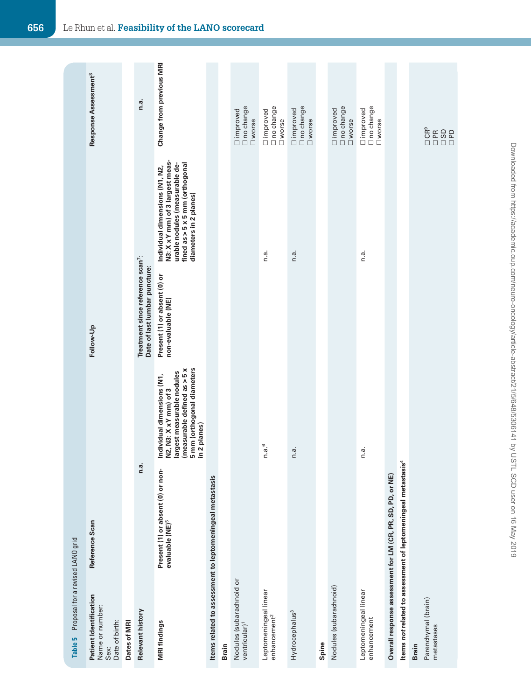| Proposal for a revised LANO grid<br>Table 5                         |                                                                           |                                                                                                                                                                  |                                                                                |                                                                                                                                                                   |                                              |
|---------------------------------------------------------------------|---------------------------------------------------------------------------|------------------------------------------------------------------------------------------------------------------------------------------------------------------|--------------------------------------------------------------------------------|-------------------------------------------------------------------------------------------------------------------------------------------------------------------|----------------------------------------------|
| Patient Identification<br>Name or number:<br>Date of birth:<br>Sex: | Reference Scan                                                            |                                                                                                                                                                  | Follow-Up                                                                      |                                                                                                                                                                   | Response Assessment <sup>8</sup>             |
| Dates of MRI                                                        |                                                                           |                                                                                                                                                                  |                                                                                |                                                                                                                                                                   |                                              |
| Relevant history                                                    | n.a.                                                                      |                                                                                                                                                                  | Treatment since reference scan <sup>7</sup> :<br>Date of last lumbar puncture: |                                                                                                                                                                   | n.a.                                         |
| <b>MRI findings</b>                                                 | Present (1) or absent (0) or non-<br>evaluable (NE) <sup>5</sup>          | 5 mm (orthogonal diameters<br>(measurable defined as > 5 x<br>largest measurable nodules<br>Individual dimensions (N1,<br>N2, N3: X x Y mm) of 3<br>in 2 planes) | Present (1) or absent (0) or<br>non-evaluable (NE)                             | N3: X x Y mm) of 3 largest meas-<br>fined as > 5 x 5 mm (orthogonal<br>urable nodules (measurable de-<br>Individual dimensions (N1, N2,<br>diameters in 2 planes) | Change from previous MRI                     |
|                                                                     | Items related to assessment to leptomeningeal metastasis                  |                                                                                                                                                                  |                                                                                |                                                                                                                                                                   |                                              |
| <b>Brain</b>                                                        |                                                                           |                                                                                                                                                                  |                                                                                |                                                                                                                                                                   |                                              |
| Nodules (subarachnoid or<br>ventricular) <sup>1</sup>               |                                                                           |                                                                                                                                                                  |                                                                                |                                                                                                                                                                   | no change<br>limproved<br><b>U</b> worse     |
| Leptomeningeal linear<br>enhancement <sup>2</sup>                   |                                                                           | n.a. <sup>6</sup>                                                                                                                                                |                                                                                | n.a.                                                                                                                                                              | □ improved<br>□ no change<br><b>U</b> worse  |
| Hydrocephalus <sup>3</sup>                                          |                                                                           | n.a.                                                                                                                                                             |                                                                                | n.a.                                                                                                                                                              | □ improved<br>□ no change<br><b>U</b> worse  |
| Spine                                                               |                                                                           |                                                                                                                                                                  |                                                                                |                                                                                                                                                                   |                                              |
| Nodules (subarachnoid)                                              |                                                                           |                                                                                                                                                                  |                                                                                |                                                                                                                                                                   | □ improved<br>□ no change<br>$\square$ worse |
| Leptomeningeal linear<br>enhancement                                |                                                                           | n.a.                                                                                                                                                             |                                                                                | n.a.                                                                                                                                                              | □ improved<br>□ no change<br><b>U</b> worse  |
|                                                                     | Overall response assessment for LM (CR, PR, SD, PD, or NE)                |                                                                                                                                                                  |                                                                                |                                                                                                                                                                   |                                              |
|                                                                     | Items not related to assessment of leptomeningeal metastasis <sup>4</sup> |                                                                                                                                                                  |                                                                                |                                                                                                                                                                   |                                              |
| Parenchymal (brain)<br>metastases<br><b>Brain</b>                   |                                                                           |                                                                                                                                                                  |                                                                                |                                                                                                                                                                   | ទំនួន<br>បុប្ផា                              |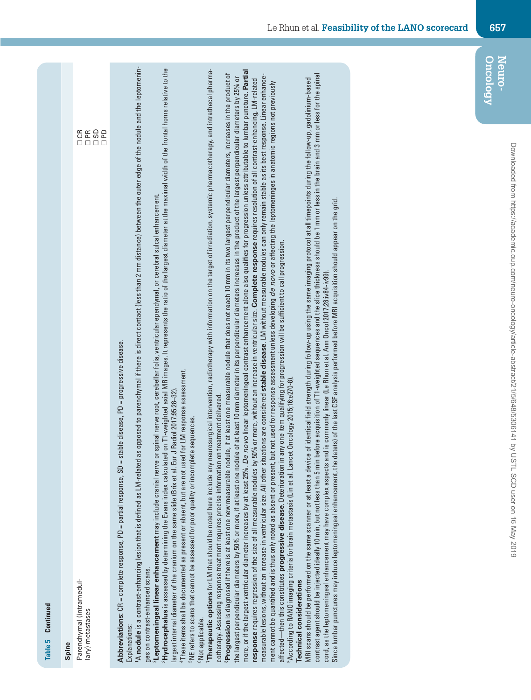| Continued<br>Table 5                                                                                                                                                                                                                                                                                                                                                                                                                                                                                                                                                                                                                                                                                                                                                                                                                                                                 |
|--------------------------------------------------------------------------------------------------------------------------------------------------------------------------------------------------------------------------------------------------------------------------------------------------------------------------------------------------------------------------------------------------------------------------------------------------------------------------------------------------------------------------------------------------------------------------------------------------------------------------------------------------------------------------------------------------------------------------------------------------------------------------------------------------------------------------------------------------------------------------------------|
| Parenchymal (intramedul-<br>lary) metastases<br>Spine                                                                                                                                                                                                                                                                                                                                                                                                                                                                                                                                                                                                                                                                                                                                                                                                                                |
| 5500                                                                                                                                                                                                                                                                                                                                                                                                                                                                                                                                                                                                                                                                                                                                                                                                                                                                                 |
| as opposed to parenchymal if there is direct contact (less than 2 mm distance) between the outer edge of the nodule and the leptomenin-<br>stable disease, PD = progressive disease.<br>A nodule is a contrast-enhancing lesion that is defined as LM-related<br>Abbreviations: CR = complete response, PD = partial response, SD =<br>Explanations:                                                                                                                                                                                                                                                                                                                                                                                                                                                                                                                                 |
| <sup>3</sup> Hydrocephalus is assessed by determining the Evans index calculated on T1-weighted axial MR images. It represents the ratio of the largest diameter at the maximal width of the frontal horns relative to the<br>or spinal nerve root, cerebellar folia, ventricular ependymal, or cerebral sulcal enhancement.<br>$^4\mathrm{These}$ items shall be documented as present or absent, but are not used for LM response assessment.<br>largest internal diameter of the cranium on the same slide (Brix et al. Eur J Radiol 2017;95:28-32)<br><sup>5</sup> NE refers to scans that cannot be assessed for poor quality or incomplete sequences<br><sup>2</sup> Leptomeningeal linear enhancement may include cranial nerve<br>ges on contrast-enhanced scans.                                                                                                            |
| Therapeutic options for LM that should be noted here include any neurosurgical intervention, radiotherapy with information on the target of irradiation, systemic pharmacotherapy, and intrathecal pharma-<br><b>Progression</b> is diagnosed if there is at least one new measurable nodule, if at least one measurable nodule that does not reach 10 mm in its two largest perpendicular diameters, increases in the product of<br>on treatment delivered.<br>cotherapy. Assessing response treatment requires precise information<br><sup>6</sup> Not applicable.                                                                                                                                                                                                                                                                                                                 |
| more, or if the largest ventricular diameter increases by at least 25%. <i>De novo</i> linear leptomeningeal contrast enhancement alone also qualifies for progression unless attributable to lumbar puncture. <b>Partial</b><br>measurable lesions, without an increase in ventricular size. All other situations are considered <b>stable disease</b> . LM without measurable nodules can only remain stable as its best response. Linear enhance-<br>the largest perpendicular diameters by 50% or more, if at least one nodule of at least 10 mm diameter in its perpendicular diameters increases in the product of the largest perpendicular diameters by 25% or<br>50% or more, without an increase in ventricular size. Complete response requires resolution of all contrast-enhancing, LM-related<br>response requires regression of the size of all measurable nodules by |
| ment cannot be quantified and is thus only noted as absent or present or present under assessment unless developing <i>de novo</i> or affecting the leptomeninges in anatomic regions not previously<br>I any one item qualifying for progression will be sufficient to call progression.<br>9According to RANO imaging criteria for brain metastasis (Lin et al. Lancet Oncology 2015;16:e270-8)<br>affected-then this constitutes progressive disease. Deterioration in<br>Technical considerations                                                                                                                                                                                                                                                                                                                                                                                |
| contrast agent should be injected ideally 10 min, but not less than 5 min before acquisition of T1-weighted sequences and the slice thickness should be 1 mm or less in the brain and 3 mm or less for the spinal<br>MRI scans should be performed on the same scanner or at least a device of identical field strength during follow-up using the same imaging protocol at all timepoints during the follow-up, gadolinium-based<br>date(s) of the last CSF analysis performed before MRI acquisition should appear on the grid<br>cord, as the leptomeningeal enhancement may have complex aspects and is commonly linear (Le Rhun et al. Ann Oncol 2017;28:iv84-iv99)<br>Since lumbar punctures may induce leptomeningeal enhancement, the                                                                                                                                        |
|                                                                                                                                                                                                                                                                                                                                                                                                                                                                                                                                                                                                                                                                                                                                                                                                                                                                                      |
|                                                                                                                                                                                                                                                                                                                                                                                                                                                                                                                                                                                                                                                                                                                                                                                                                                                                                      |
|                                                                                                                                                                                                                                                                                                                                                                                                                                                                                                                                                                                                                                                                                                                                                                                                                                                                                      |

**Oncology Neuro-**